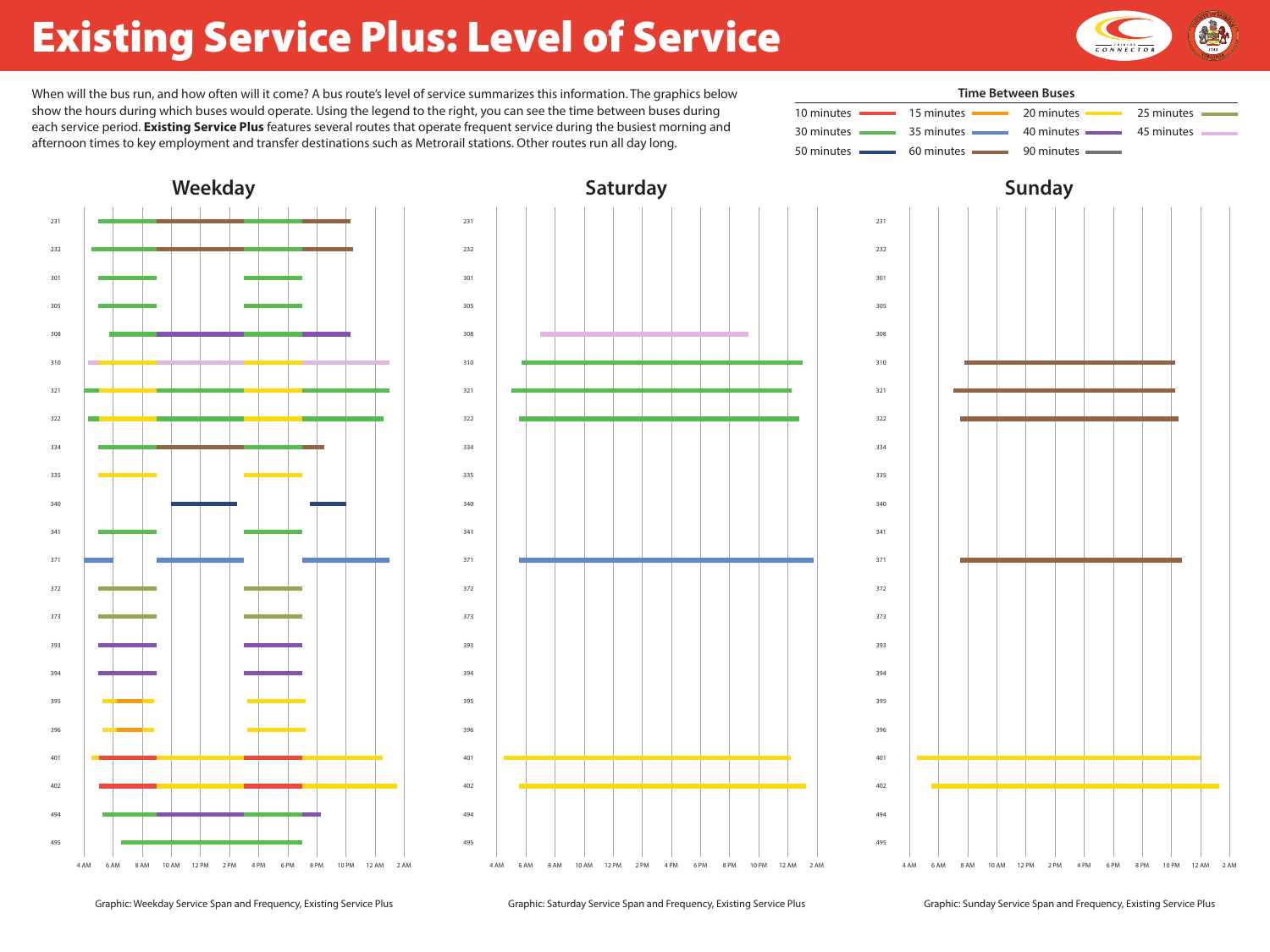# Existing Service Plus: Level of Service

When will the bus run, and how often will it come? A bus route's level of service summarizes this information. The graphics below show the hours during which buses would operate. Using the legend to the right, you can see the time between buses during each service period. **Existing Service Plus** features several routes that operate frequent service during the busiest morning and afternoon times to key employment and transfer destinations such as Metrorail stations. Other routes run all day long.

Graphic: Weekday Service Span and Frequency, Existing Service Plus Graphic: Saturday Service Span and Frequency, Existing Service Plus Graphic: Sunday Service Span and Frequency, Existing Service Plus



| 5 | <u> La Cartana de la Ca</u> |
|---|-----------------------------|
|   |                             |
|   |                             |
|   |                             |
| 5 |                             |
|   |                             |



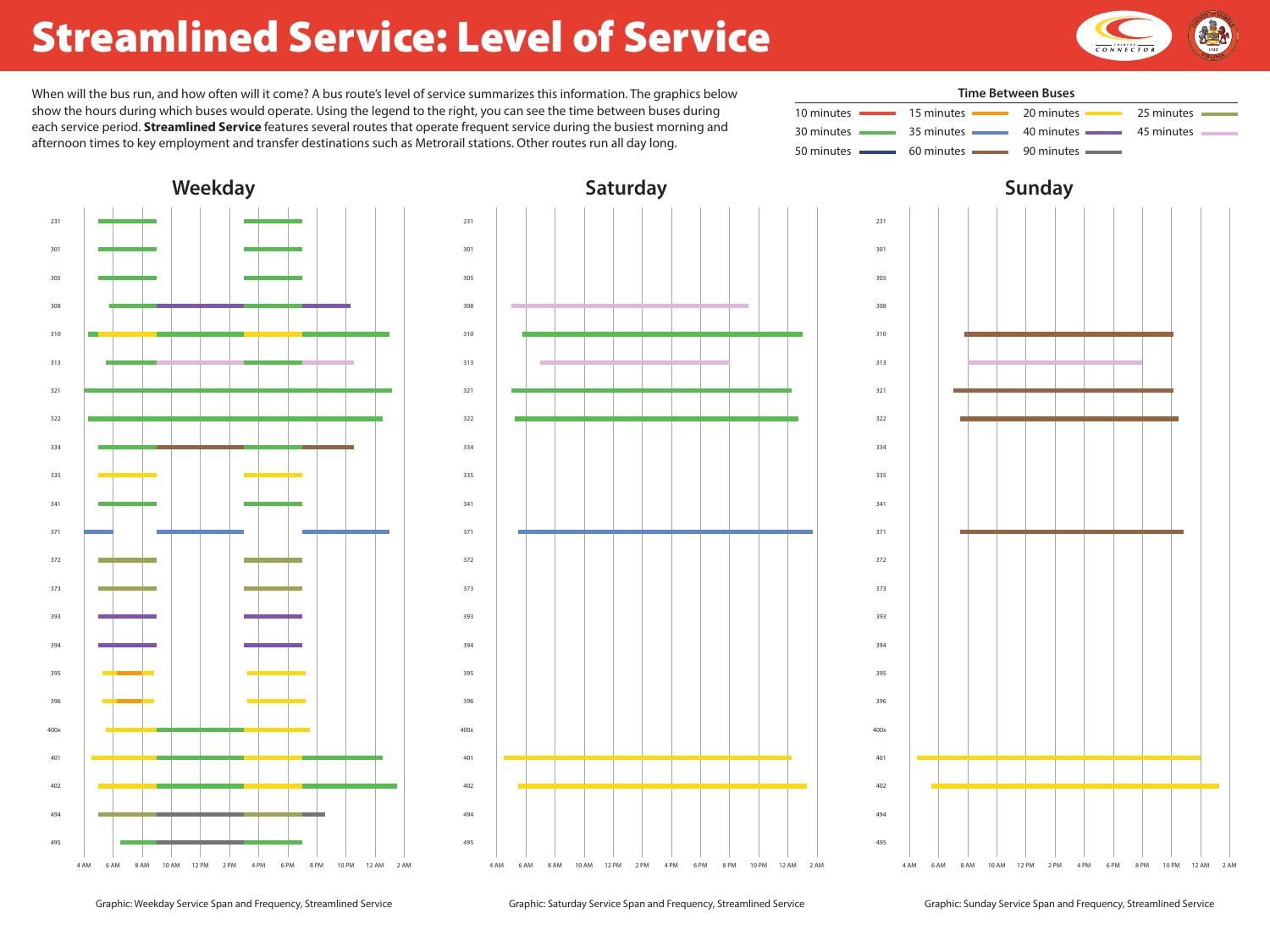## Streamlined Service: Level of Service

Graphic: Weekday Service Span and Frequency, Streamlined Service Graphic: Saturday Service Span and Frequency, Streamlined Service Graphic: Sunday Service Span and Frequency, Streamlined Service



| 5 | <u> La Cartana de la Ca</u> |
|---|-----------------------------|
|   |                             |
|   |                             |
|   |                             |
| 5 |                             |
|   |                             |





show the hours during which buses would operate. Using the legend to the right, you can see the time between buses during each service period. **Streamlined Service** features several routes that operate frequent service during the busiest morning and afternoon times to key employment and transfer destinations such as Metrorail stations. Other routes run all day long.